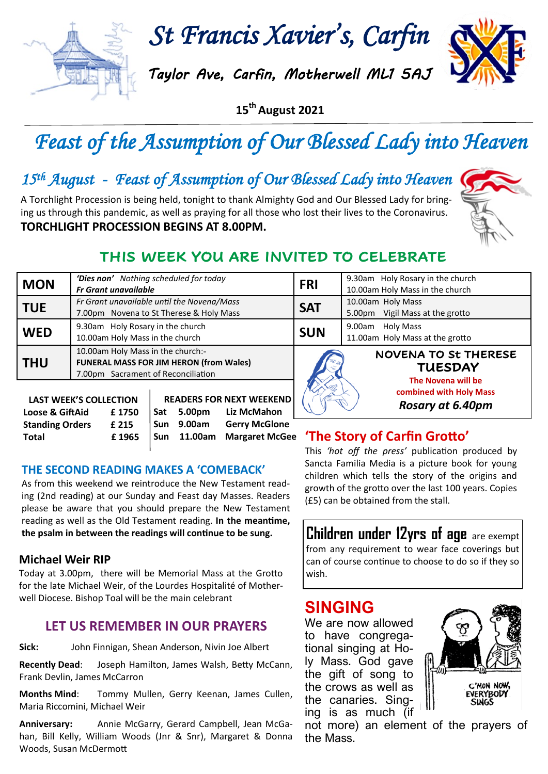

*St Francis Xavier's, Carfin* 

*Taylor Ave, Carfin, Motherwell ML1 5AJ* 

**15th August 2021**

# *Feast of the Assumption of Our Blessed Lady into Heaven*

## *15th August - Feast of Assumption of Our Blessed Lady into Heaven*

A Torchlight Procession is being held, tonight to thank Almighty God and Our Blessed Lady for bringing us through this pandemic, as well as praying for all those who lost their lives to the Coronavirus. **TORCHLIGHT PROCESSION BEGINS AT 8.00PM.**



### **THIS WEEK YOU ARE INVITED TO CELEBRATE**

| <b>MON</b> | 'Dies non' Nothing scheduled for today<br><b>Fr Grant unavailable</b>                                              | <b>FRI</b> | 9.30am Holy Rosary in the church<br>10.00am Holy Mass in the church |
|------------|--------------------------------------------------------------------------------------------------------------------|------------|---------------------------------------------------------------------|
| <b>TUE</b> | Fr Grant unavailable until the Novena/Mass<br>7.00pm Novena to St Therese & Holy Mass                              | <b>SAT</b> | 10.00am Holy Mass<br>Vigil Mass at the grotto<br>5.00pm             |
| <b>WED</b> | 9.30am Holy Rosary in the church<br>10.00am Holy Mass in the church                                                | <b>SUN</b> | Holy Mass<br>9.00am<br>11.00am Holy Mass at the grotto              |
| <b>THU</b> | 10.00am Holy Mass in the church:-<br>FUNERAL MASS FOR JIM HERON (from Wales)<br>7.00pm Sacrament of Reconciliation |            | <b>NOVENA TO St THERESE</b><br><b>TUESDAY</b>                       |
|            | <b>DEANEDC EOD NEVT IN/EEVENIN</b><br>LACT WEEV'S COLLECTION                                                       |            | The Novena will be<br>combined with Holy Mass                       |

| Rosary at 6.40pm |
|------------------|
|------------------|

#### **LAST WEEK'S COLLECTION Loose & GiftAid £ 1750 Standing Orders £ 215 Total £ 1965 READERS FOR NEXT WEEKEND Sat 5.00pm Liz McMahon Sun 9.00am Gerry McGlone Sun 11.00am Margaret McGee**

#### **THE SECOND READING MAKES A 'COMEBACK'**

As from this weekend we reintroduce the New Testament reading (2nd reading) at our Sunday and Feast day Masses. Readers please be aware that you should prepare the New Testament reading as well as the Old Testament reading. **In the meantime, the psalm in between the readings will continue to be sung.** 

#### **Michael Weir RIP**

Today at 3.00pm, there will be Memorial Mass at the Grotto for the late Michael Weir, of the Lourdes Hospitalité of Motherwell Diocese. Bishop Toal will be the main celebrant

#### **LET US REMEMBER IN OUR PRAYERS**

**Sick:** John Finnigan, Shean Anderson, Nivin Joe Albert

**Recently Dead**: Joseph Hamilton, James Walsh, Betty McCann, Frank Devlin, James McCarron

**Months Mind**: Tommy Mullen, Gerry Keenan, James Cullen, Maria Riccomini, Michael Weir

**Anniversary:** Annie McGarry, Gerard Campbell, Jean McGahan, Bill Kelly, William Woods (Jnr & Snr), Margaret & Donna Woods, Susan McDermott

#### **'The Story of Carfin Grotto'**

This *'hot off the press'* publication produced by Sancta Familia Media is a picture book for young children which tells the story of the origins and growth of the grotto over the last 100 years. Copies (£5) can be obtained from the stall.

**Children under 12yrs of age** are exempt from any requirement to wear face coverings but can of course continue to choose to do so if they so wish.

### **SINGING**

We are now allowed to have congregational singing at Holy Mass. God gave the gift of song to the crows as well as the canaries. Singing is as much (if



not more) an element of the prayers of the Mass.